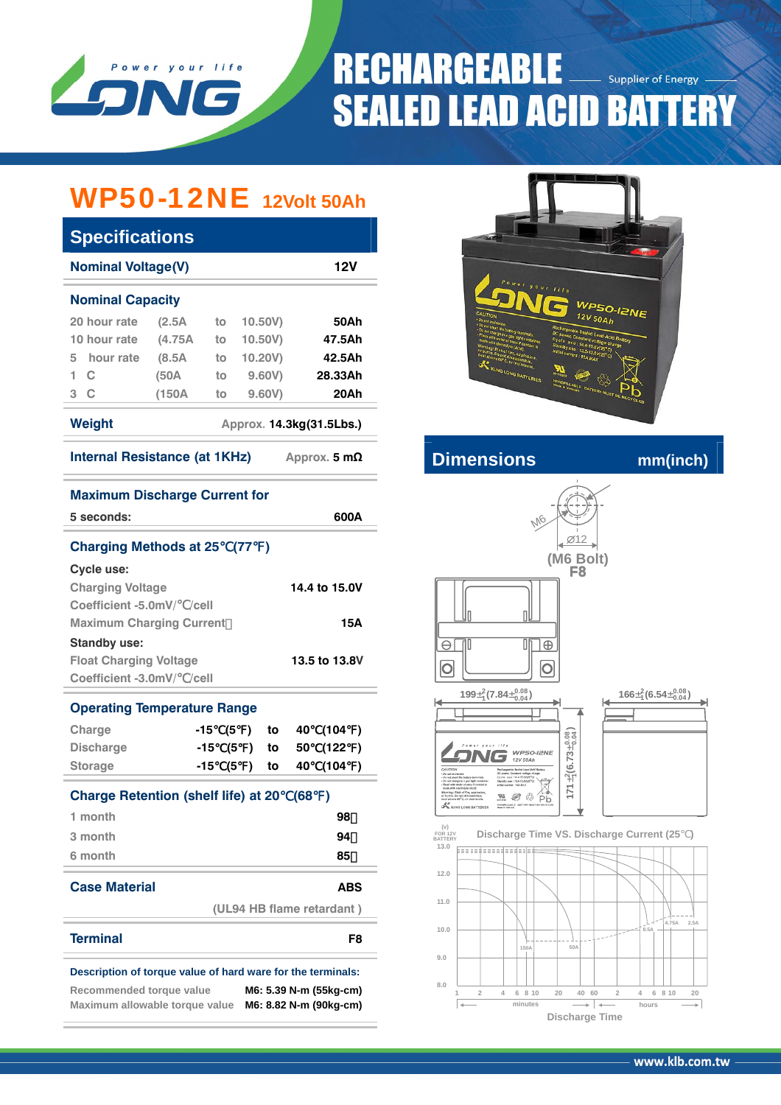

# **RECHARGEABLE Supplier of Energy SEALED LEAD ACID BATTERY**

# WP50-12NE **12Volt 50Ah**

| <b>Specifications</b>                           |         |    |         |         |  |  |  |
|-------------------------------------------------|---------|----|---------|---------|--|--|--|
| <b>Nominal Voltage(V)</b>                       | 12V     |    |         |         |  |  |  |
| <b>Nominal Capacity</b>                         |         |    |         |         |  |  |  |
| 20 hour rate                                    | (2.5A)  | to | 10,50V  | 50Ah    |  |  |  |
| 10 hour rate                                    | (4.75A) | to | 10.50V  | 47.5Ah  |  |  |  |
| 5 hour rate                                     | (8.5A)  | to | 10.20V) | 42.5Ah  |  |  |  |
| 1<br>$\mathbf{C}$                               | (50A    | to | 9,60V   | 28.33Ah |  |  |  |
| 3 <sup>C</sup>                                  | (150A   | to | 9.60V   | 20Ah    |  |  |  |
| Weight<br>Approx. 14.3kg(31.5Lbs.)              |         |    |         |         |  |  |  |
| Internal Resistance (at 1KHz)<br>Approx. 5 $mΩ$ |         |    |         |         |  |  |  |



## **Internal Resistance CONDING MANUS CONDING MANUSCRIPTION**

M6

**(M6 Bolt)** 12